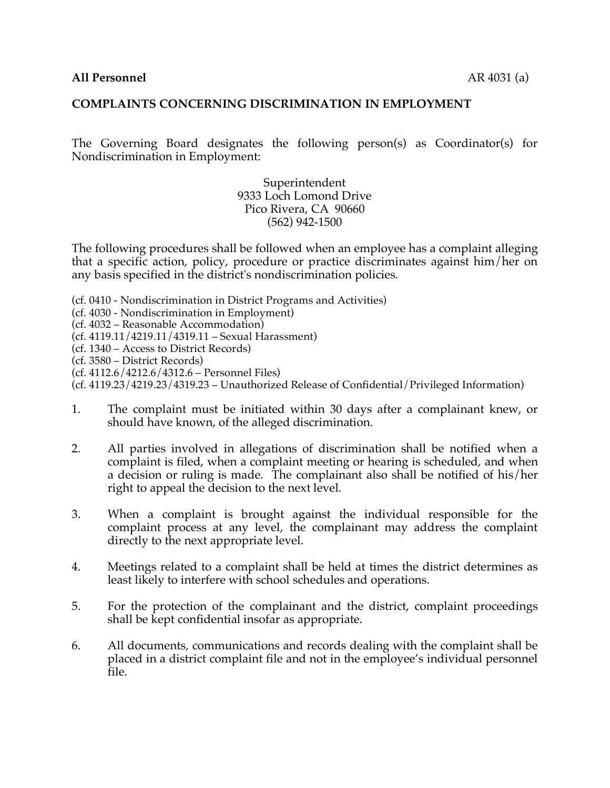### **COMPLAINTS CONCERNING DISCRIMINATION IN EMPLOYMENT**

The Governing Board designates the following person(s) as Coordinator(s) for Nondiscrimination in Employment:

> Superintendent 9333 Loch Lomond Drive Pico Rivera, CA 90660 (562) 942-1500

The following procedures shall be followed when an employee has a complaint alleging that a specific action, policy, procedure or practice discriminates against him/her on any basis specified in the district's nondiscrimination policies.

- (cf. 0410 Nondiscrimination in District Programs and Activities)
- (cf. 4030 Nondiscrimination in Employment)
- (cf. 4032 Reasonable Accommodation)
- (cf. 4119.11/4219.11/4319.11 Sexual Harassment)
- (cf. 1340 Access to District Records)
- (cf. 3580 District Records)
- (cf. 4112.6/4212.6/4312.6 Personnel Files)
- (cf. 4119.23/4219.23/4319.23 Unauthorized Release of Confidential/Privileged Information)
- 1. The complaint must be initiated within 30 days after a complainant knew, or should have known, of the alleged discrimination.
- 2. All parties involved in allegations of discrimination shall be notified when a complaint is filed, when a complaint meeting or hearing is scheduled, and when a decision or ruling is made. The complainant also shall be notified of his/her right to appeal the decision to the next level.
- 3. When a complaint is brought against the individual responsible for the complaint process at any level, the complainant may address the complaint directly to the next appropriate level.
- 4. Meetings related to a complaint shall be held at times the district determines as least likely to interfere with school schedules and operations.
- 5. For the protection of the complainant and the district, complaint proceedings shall be kept confidential insofar as appropriate.
- 6. All documents, communications and records dealing with the complaint shall be placed in a district complaint file and not in the employee's individual personnel file.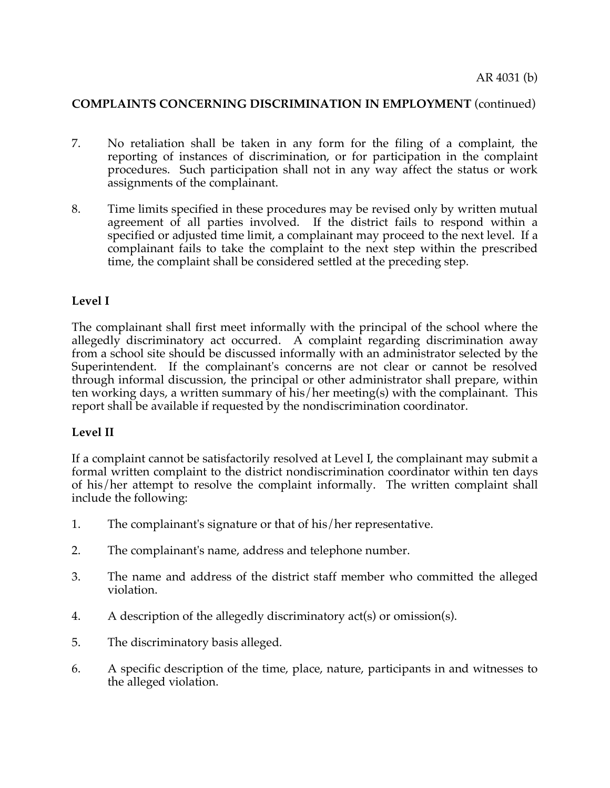## **COMPLAINTS CONCERNING DISCRIMINATION IN EMPLOYMENT** (continued)

- 7. No retaliation shall be taken in any form for the filing of a complaint, the reporting of instances of discrimination, or for participation in the complaint procedures. Such participation shall not in any way affect the status or work assignments of the complainant.
- 8. Time limits specified in these procedures may be revised only by written mutual agreement of all parties involved. If the district fails to respond within a specified or adjusted time limit, a complainant may proceed to the next level. If a complainant fails to take the complaint to the next step within the prescribed time, the complaint shall be considered settled at the preceding step.

### **Level I**

The complainant shall first meet informally with the principal of the school where the allegedly discriminatory act occurred. A complaint regarding discrimination away from a school site should be discussed informally with an administrator selected by the Superintendent. If the complainant's concerns are not clear or cannot be resolved through informal discussion, the principal or other administrator shall prepare, within ten working days, a written summary of his/her meeting(s) with the complainant. This report shall be available if requested by the nondiscrimination coordinator.

### **Level II**

If a complaint cannot be satisfactorily resolved at Level I, the complainant may submit a formal written complaint to the district nondiscrimination coordinator within ten days of his/her attempt to resolve the complaint informally. The written complaint shall include the following:

- 1. The complainant's signature or that of his/her representative.
- 2. The complainant's name, address and telephone number.
- 3. The name and address of the district staff member who committed the alleged violation.
- 4. A description of the allegedly discriminatory act(s) or omission(s).
- 5. The discriminatory basis alleged.
- 6. A specific description of the time, place, nature, participants in and witnesses to the alleged violation.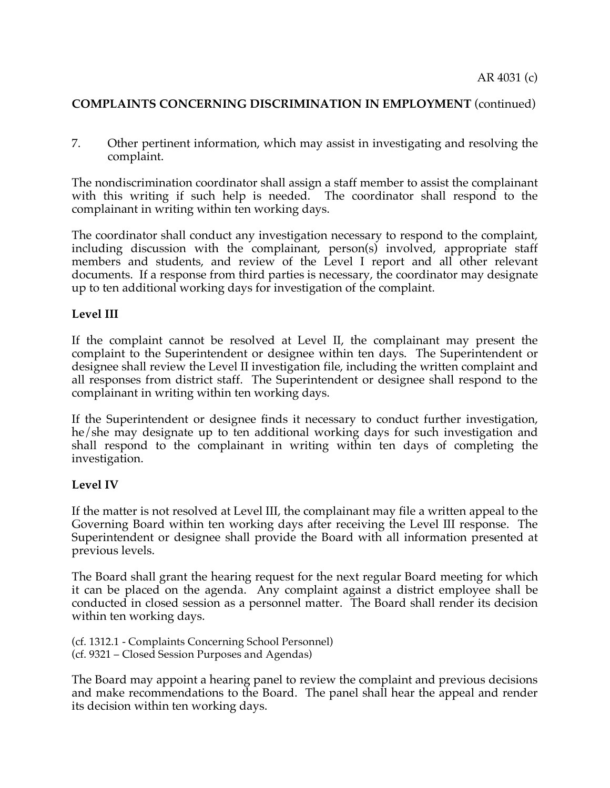# **COMPLAINTS CONCERNING DISCRIMINATION IN EMPLOYMENT** (continued)

7. Other pertinent information, which may assist in investigating and resolving the complaint.

The nondiscrimination coordinator shall assign a staff member to assist the complainant with this writing if such help is needed. The coordinator shall respond to the complainant in writing within ten working days.

The coordinator shall conduct any investigation necessary to respond to the complaint, including discussion with the complainant, person(s) involved, appropriate staff members and students, and review of the Level I report and all other relevant documents. If a response from third parties is necessary, the coordinator may designate up to ten additional working days for investigation of the complaint.

## **Level III**

If the complaint cannot be resolved at Level II, the complainant may present the complaint to the Superintendent or designee within ten days. The Superintendent or designee shall review the Level II investigation file, including the written complaint and all responses from district staff. The Superintendent or designee shall respond to the complainant in writing within ten working days.

If the Superintendent or designee finds it necessary to conduct further investigation, he/she may designate up to ten additional working days for such investigation and shall respond to the complainant in writing within ten days of completing the investigation.

## **Level IV**

If the matter is not resolved at Level III, the complainant may file a written appeal to the Governing Board within ten working days after receiving the Level III response. The Superintendent or designee shall provide the Board with all information presented at previous levels.

The Board shall grant the hearing request for the next regular Board meeting for which it can be placed on the agenda. Any complaint against a district employee shall be conducted in closed session as a personnel matter. The Board shall render its decision within ten working days.

(cf. 1312.1 - Complaints Concerning School Personnel) (cf. 9321 – Closed Session Purposes and Agendas)

The Board may appoint a hearing panel to review the complaint and previous decisions and make recommendations to the Board. The panel shall hear the appeal and render its decision within ten working days.